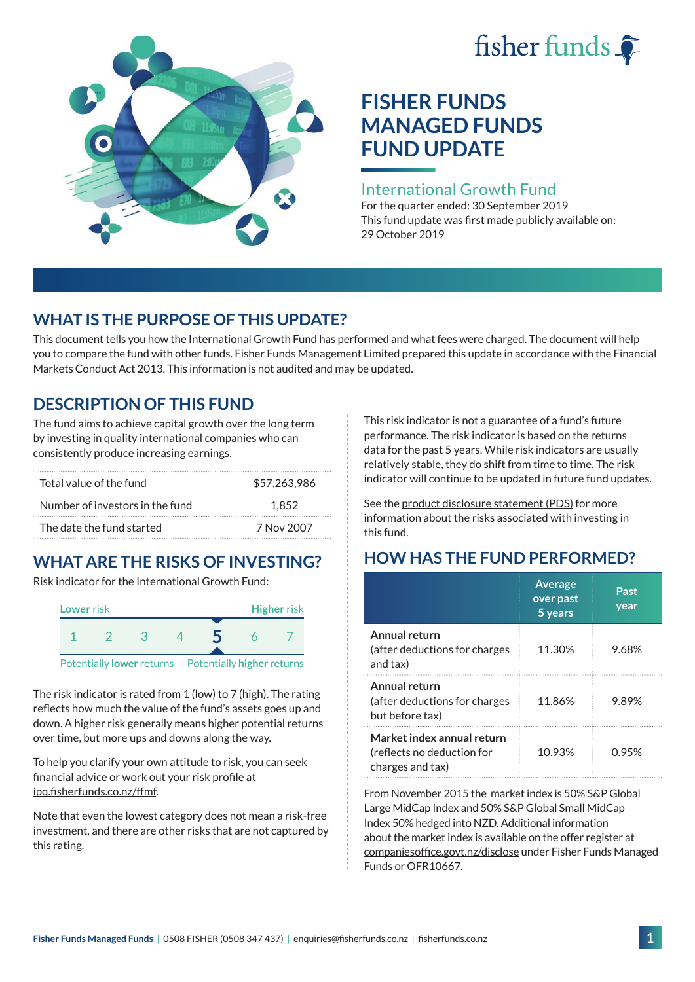# fisher funds  $\hat{\bullet}$



## **FISHER FUNDS MANAGED FUNDS FUND UPDATE**

#### International Growth Fund

For the quarter ended: 30 September 2019 This fund update was first made publicly available on: 29 October 2019

## **WHAT IS THE PURPOSE OF THIS UPDATE?**

This document tells you how the International Growth Fund has performed and what fees were charged. The document will help you to compare the fund with other funds. Fisher Funds Management Limited prepared this update in accordance with the Financial Markets Conduct Act 2013. This information is not audited and may be updated.

## **DESCRIPTION OF THIS FUND**

The fund aims to achieve capital growth over the long term by investing in quality international companies who can consistently produce increasing earnings.

| Total value of the fund         | \$57,263,986 |
|---------------------------------|--------------|
| Number of investors in the fund | 1.852        |
| The date the fund started       | 7 Nov 2007   |

## **WHAT ARE THE RISKS OF INVESTING?**

Risk indicator for the International Growth Fund:



The risk indicator is rated from 1 (low) to 7 (high). The rating reflects how much the value of the fund's assets goes up and down. A higher risk generally means higher potential returns over time, but more ups and downs along the way.

To help you clarify your own attitude to risk, you can seek financial advice or work out your risk profile at [ipq.fisherfunds.co.nz/ffmf](https://ipq.fisherfunds.co.nz/ffmf).

Note that even the lowest category does not mean a risk-free investment, and there are other risks that are not captured by this rating.

This risk indicator is not a guarantee of a fund's future performance. The risk indicator is based on the returns data for the past 5 years. While risk indicators are usually relatively stable, they do shift from time to time. The risk indicator will continue to be updated in future fund updates.

See the [product disclosure statement \(PDS\)](https://fisherfunds.co.nz/assets/PDS/Fisher-Funds-Managed-Funds-PDS.pdf) for more information about the risks associated with investing in this fund.

## **HOW HAS THE FUND PERFORMED?**

|                                                                              | <b>Average</b><br>over past<br>5 years | Past<br>year |
|------------------------------------------------------------------------------|----------------------------------------|--------------|
| Annual return<br>(after deductions for charges<br>and tax)                   | 11.30%                                 | 9.68%        |
| Annual return<br>(after deductions for charges<br>but before tax)            | 11.86%                                 | 9.89%        |
| Market index annual return<br>(reflects no deduction for<br>charges and tax) | 10.93%                                 | 0.95%        |

From November 2015 the market index is 50% S&P Global Large MidCap Index and 50% S&P Global Small MidCap Index 50% hedged into NZD. Additional information about the market index is available on the offer register at [companiesoffice.govt.nz/disclose](http://companiesoffice.govt.nz/disclose) under Fisher Funds Managed Funds or OFR10667.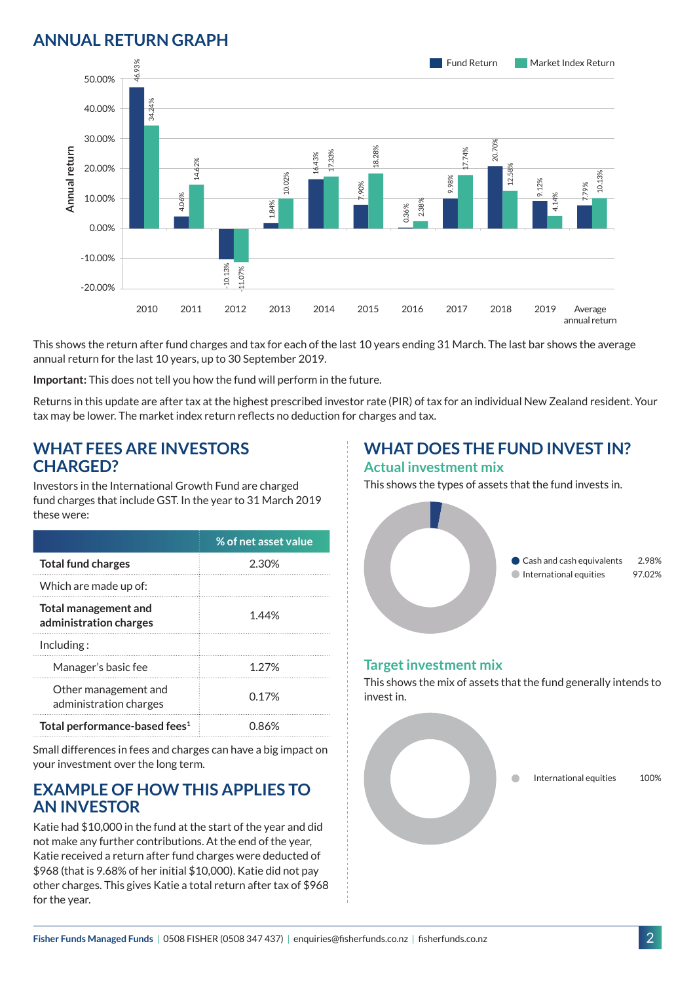### **ANNUAL RETURN GRAPH**



This shows the return after fund charges and tax for each of the last 10 years ending 31 March. The last bar shows the average annual return for the last 10 years, up to 30 September 2019.

**Important:** This does not tell you how the fund will perform in the future.

Returns in this update are after tax at the highest prescribed investor rate (PIR) of tax for an individual New Zealand resident. Your tax may be lower. The market index return reflects no deduction for charges and tax.

#### **WHAT FEES ARE INVESTORS CHARGED?**

Investors in the International Growth Fund are charged fund charges that include GST. In the year to 31 March 2019 these were:

|                                                | % of net asset value |
|------------------------------------------------|----------------------|
| <b>Total fund charges</b>                      | 2.30%                |
| Which are made up of:                          |                      |
| Total management and<br>administration charges | 1.44%                |
| Inding:                                        |                      |
| Manager's basic fee                            | 1.27%                |
| Other management and<br>administration charges | 0.17 <sup>%</sup>    |
| Total performance-based fees <sup>1</sup>      | 0.86%                |

Small differences in fees and charges can have a big impact on your investment over the long term.

#### **EXAMPLE OF HOW THIS APPLIES TO AN INVESTOR**

Katie had \$10,000 in the fund at the start of the year and did not make any further contributions. At the end of the year, Katie received a return after fund charges were deducted of \$968 (that is 9.68% of her initial \$10,000). Katie did not pay other charges. This gives Katie a total return after tax of \$968 for the year.

## **WHAT DOES THE FUND INVEST IN?**

#### **Actual investment mix**

This shows the types of assets that the fund invests in.



#### **Target investment mix**

This shows the mix of assets that the fund generally intends to invest in.